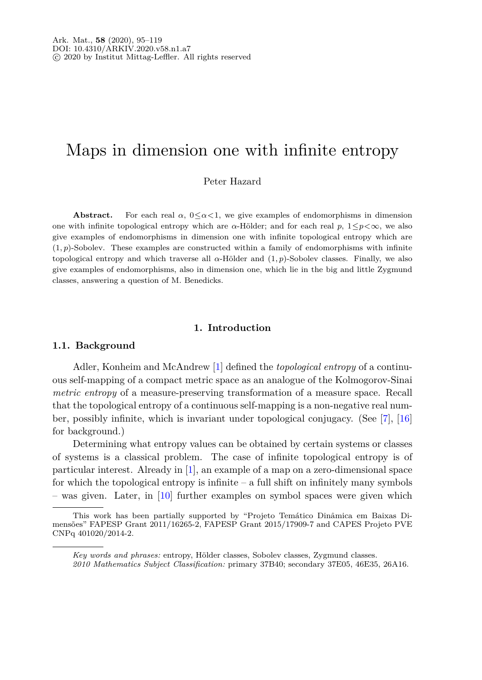# Maps in dimension one with infinite entropy

Peter Hazard

**Abstract.** For each real  $\alpha$ ,  $0 \leq \alpha \leq 1$ , we give examples of endomorphisms in dimension one with infinite topological entropy which are  $\alpha$ -Hölder; and for each real p,  $1 \leq p \leq \infty$ , we also give examples of endomorphisms in dimension one with infinite topological entropy which are (1*, p*)-Sobolev. These examples are constructed within a family of endomorphisms with infinite topological entropy and which traverse all *α*-Hölder and (1*, p*)-Sobolev classes. Finally, we also give examples of endomorphisms, also in dimension one, which lie in the big and little Zygmund classes, answering a question of M. Benedicks.

## **1. Introduction**

#### **1.1. Background**

Adler, Konheim and McAndrew [\[1](#page-22-0)] defined the *topological entropy* of a continuous self-mapping of a compact metric space as an analogue of the Kolmogorov-Sinai *metric entropy* of a measure-preserving transformation of a measure space. Recall that the topological entropy of a continuous self-mapping is a non-negative real number, possibly infinite, which is invariant under topological conjugacy. (See [\[7\]](#page-23-0), [\[16\]](#page-23-1) for background.)

Determining what entropy values can be obtained by certain systems or classes of systems is a classical problem. The case of infinite topological entropy is of particular interest. Already in [\[1](#page-22-0)], an example of a map on a zero-dimensional space for which the topological entropy is infinite  $-$  a full shift on infinitely many symbols – was given. Later, in [\[10](#page-23-2)] further examples on symbol spaces were given which

This work has been partially supported by "Projeto Temático Dinâmica em Baixas Dimensões" FAPESP Grant 2011/16265-2, FAPESP Grant 2015/17909-7 and CAPES Projeto PVE CNPq 401020/2014-2.

*Key words and phrases:* entropy, Hölder classes, Sobolev classes, Zygmund classes.

*<sup>2010</sup> Mathematics Subject Classification:* primary 37B40; secondary 37E05, 46E35, 26A16.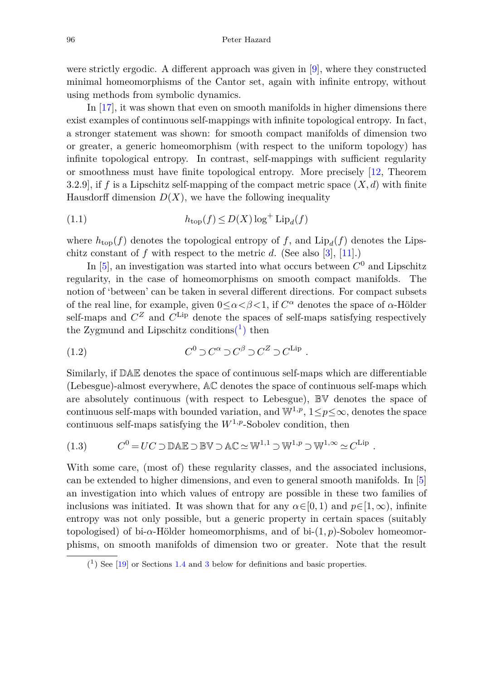were strictly ergodic. A different approach was given in [\[9](#page-23-3)], where they constructed minimal homeomorphisms of the Cantor set, again with infinite entropy, without using methods from symbolic dynamics.

In [\[17\]](#page-23-4), it was shown that even on smooth manifolds in higher dimensions there exist examples of continuous self-mappings with infinite topological entropy. In fact, a stronger statement was shown: for smooth compact manifolds of dimension two or greater, a generic homeomorphism (with respect to the uniform topology) has infinite topological entropy. In contrast, self-mappings with sufficient regularity or smoothness must have finite topological entropy. More precisely [\[12,](#page-23-5) Theorem 3.2.9], if *f* is a Lipschitz self-mapping of the compact metric space (*X, d*) with finite Hausdorff dimension  $D(X)$ , we have the following inequality

(1.1) 
$$
h_{\text{top}}(f) \le D(X) \log^+ \text{Lip}_d(f)
$$

where  $h_{\text{top}}(f)$  denotes the topological entropy of f, and  $\text{Lip}_{d}(f)$  denotes the Lipschitz constant of *f* with respect to the metric *d*. (See also [\[3](#page-23-6)], [\[11\]](#page-23-7).)

In  $[5]$ , an investigation was started into what occurs between  $C^0$  and Lipschitz regularity, in the case of homeomorphisms on smooth compact manifolds. The notion of 'between' can be taken in several different directions. For compact subsets of the real line, for example, given  $0 \leq \alpha < \beta < 1$ , if  $C^{\alpha}$  denotes the space of  $\alpha$ -Hölder self-maps and  $C^Z$  and  $C^{\text{Lip}}$  denote the spaces of self-maps satisfying respectively the Zygmund and Lipschitz conditions<sup> $(1)$ </sup> then

(1.2) 
$$
C^0 \supset C^{\alpha} \supset C^{\beta} \supset C^Z \supset C^{\text{Lip}}.
$$

Similarly, if DAE denotes the space of continuous self-maps which are differentiable (Lebesgue)-almost everywhere, AC denotes the space of continuous self-maps which are absolutely continuous (with respect to Lebesgue), BV denotes the space of continuous self-maps with bounded variation, and  $\mathbb{W}^{1,p}$ ,  $1 \leq p \leq \infty$ , denotes the space continuous self-maps satisfying the  $W^{1,p}$ -Sobolev condition, then

(1.3) 
$$
C^0 = UC \supset \mathbb{D}\mathbb{A}\mathbb{E} \supset \mathbb{B}\mathbb{V} \supset \mathbb{A}\mathbb{C} \simeq \mathbb{W}^{1,1} \supset \mathbb{W}^{1,p} \supset \mathbb{W}^{1,\infty} \simeq C^{\text{Lip}}.
$$

With some care, (most of) these regularity classes, and the associated inclusions, can be extended to higher dimensions, and even to general smooth manifolds. In [\[5\]](#page-23-8) an investigation into which values of entropy are possible in these two families of inclusions was initiated. It was shown that for any  $\alpha \in [0, 1)$  and  $p \in [1, \infty)$ , infinite entropy was not only possible, but a generic property in certain spaces (suitably topologised) of bi-*α*-Hölder homeomorphisms, and of bi-(1*, p*)-Sobolev homeomorphisms, on smooth manifolds of dimension two or greater. Note that the result

<span id="page-1-0"></span> $(1)$  See [\[19](#page-23-9)] or Sections [1.4](#page-4-0) and [3](#page-18-0) below for definitions and basic properties.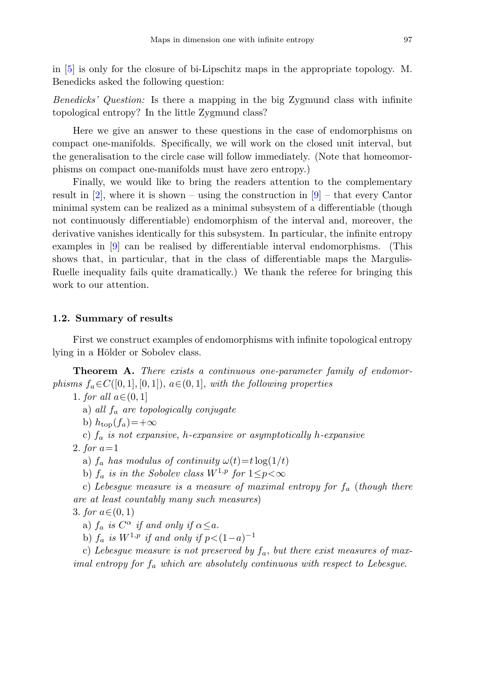in [\[5](#page-23-8)] is only for the closure of bi-Lipschitz maps in the appropriate topology. M. Benedicks asked the following question:

*Benedicks' Question:* Is there a mapping in the big Zygmund class with infinite topological entropy? In the little Zygmund class?

Here we give an answer to these questions in the case of endomorphisms on compact one-manifolds. Specifically, we will work on the closed unit interval, but the generalisation to the circle case will follow immediately. (Note that homeomorphisms on compact one-manifolds must have zero entropy.)

Finally, we would like to bring the readers attention to the complementary result in  $[2]$  $[2]$ , where it is shown – using the construction in  $[9]$  – that every Cantor minimal system can be realized as a minimal subsystem of a differentiable (though not continuously differentiable) endomorphism of the interval and, moreover, the derivative vanishes identically for this subsystem. In particular, the infinite entropy examples in [\[9](#page-23-3)] can be realised by differentiable interval endomorphisms. (This shows that, in particular, that in the class of differentiable maps the Margulis-Ruelle inequality fails quite dramatically.) We thank the referee for bringing this work to our attention.

# **1.2. Summary of results**

First we construct examples of endomorphisms with infinite topological entropy lying in a Hölder or Sobolev class.

<span id="page-2-0"></span>**Theorem A.** There exists a continuous one-parameter family of endomor*phisms*  $f_a \in C([0,1], [0,1])$ ,  $a \in (0,1]$ , with the following properties

1. for all  $a \in (0, 1]$ 

a) all *f<sup>a</sup>* are topologically conjugate

b)  $h_{\text{top}}(f_a) = +\infty$ 

c) *f<sup>a</sup>* is not expansive, *h*-expansive or asymptotically *h*-expansive

2. for *a*=1

a)  $f_a$  has modulus of continuity  $\omega(t) = t \log(1/t)$ 

b)  $f_a$  is in the Sobolev class  $W^{1,p}$  for  $1 \leq p < \infty$ 

c) Lebesgue measure is a measure of maximal entropy for *f<sup>a</sup>* (though there are at least countably many such measures)

3. for  $a \in (0, 1)$ 

a)  $f_a$  is  $C^{\alpha}$  if and only if  $\alpha \leq a$ .

b)  $f_a$  is  $W^{1,p}$  if and only if  $p < (1-a)^{-1}$ 

c) Lebesgue measure is not preserved by  $f_a$ , but there exist measures of maximal entropy for *f<sup>a</sup>* which are absolutely continuous with respect to Lebesgue.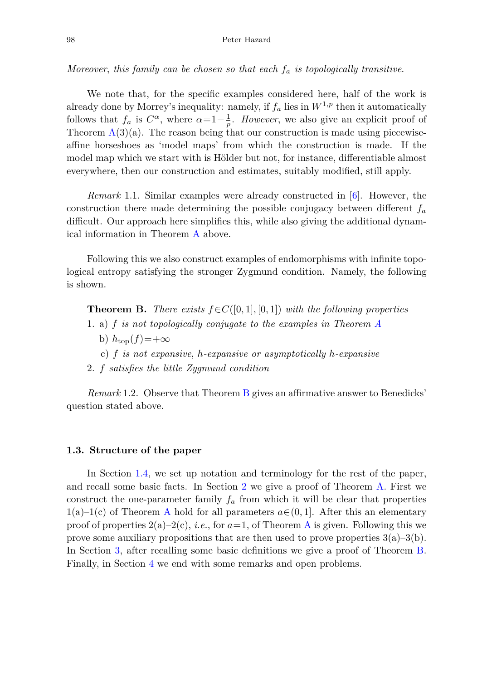Moreover, this family can be chosen so that each *f<sup>a</sup>* is topologically transitive.

We note that, for the specific examples considered here, half of the work is already done by Morrey's inequality: namely, if  $f_a$  lies in  $W^{1,p}$  then it automatically follows that  $f_a$  is  $C^{\alpha}$ , where  $\alpha=1-\frac{1}{p}$ . *However*, we also give an explicit proof of Theorem  $A(3)(a)$  $A(3)(a)$ . The reason being that our construction is made using piecewiseaffine horseshoes as 'model maps' from which the construction is made. If the model map which we start with is Hölder but not, for instance, differentiable almost everywhere, then our construction and estimates, suitably modified, still apply.

*Remark* 1.1. Similar examples were already constructed in [\[6](#page-23-11)]. However, the construction there made determining the possible conjugacy between different *f<sup>a</sup>* difficult. Our approach here simplifies this, while also giving the additional dynamical information in Theorem [A](#page-2-0) above.

Following this we also construct examples of endomorphisms with infinite topological entropy satisfying the stronger Zygmund condition. Namely, the following is shown.

<span id="page-3-0"></span>**Theorem B.** There exists  $f \in C([0,1], [0,1])$  with the following properties

- 1. a) *f* is not topologically conjugate to the examples in Theorem [A](#page-2-0)
	- b)  $h_{\text{top}}(f) = +\infty$
	- c) *f* is not expansive, *h*-expansive or asymptotically *h*-expansive
- 2. *f* satisfies the little Zygmund condition

*Remark* 1.2. Observe that Theorem [B](#page-3-0) gives an affirmative answer to Benedicks' question stated above.

#### **1.3. Structure of the paper**

In Section [1.4,](#page-4-0) we set up notation and terminology for the rest of the paper, and recall some basic facts. In Section [2](#page-6-0) we give a proof of Theorem [A.](#page-2-0) First we construct the one-parameter family  $f_a$  from which it will be clear that properties 1(a)–1(c) of Theorem [A](#page-2-0) hold for all parameters  $a \in (0, 1]$ . After this an elementary proof of properties  $2(a)-2(c)$ , *i.e.*, for  $a=1$ , of Theorem [A](#page-2-0) is given. Following this we prove some auxiliary propositions that are then used to prove properties  $3(a)-3(b)$ . In Section [3,](#page-18-0) after recalling some basic definitions we give a proof of Theorem [B.](#page-3-0) Finally, in Section [4](#page-22-1) we end with some remarks and open problems.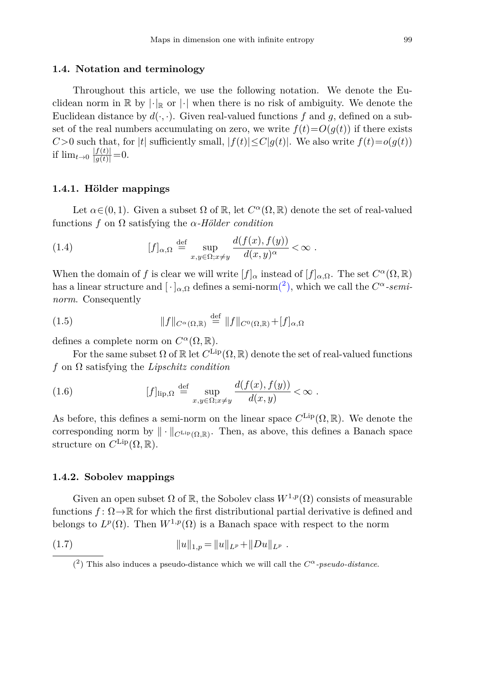#### <span id="page-4-0"></span>**1.4. Notation and terminology**

Throughout this article, we use the following notation. We denote the Euclidean norm in  $\mathbb{R}$  by  $|\cdot|_{\mathbb{R}}$  or  $|\cdot|$  when there is no risk of ambiguity. We denote the Euclidean distance by  $d(\cdot, \cdot)$ . Given real-valued functions f and q, defined on a subset of the real numbers accumulating on zero, we write  $f(t)=O(q(t))$  if there exists *C*>0 such that, for |*t*| sufficiently small,  $|f(t)| \leq C|g(t)|$ . We also write  $f(t) = o(g(t))$ if  $\lim_{t\to 0} \frac{|f(t)|}{|g(t)|} = 0.$ 

## **1.4.1. Hölder mappings**

Let  $\alpha \in (0, 1)$ . Given a subset  $\Omega$  of  $\mathbb{R}$ , let  $C^{\alpha}(\Omega, \mathbb{R})$  denote the set of real-valued functions *f* on Ω satisfying the *α-Hölder condition*

(1.4) 
$$
[f]_{\alpha,\Omega} \stackrel{\text{def}}{=} \sup_{x,y \in \Omega; x \neq y} \frac{d(f(x), f(y))}{d(x,y)^{\alpha}} < \infty.
$$

When the domain of *f* is clear we will write  $[f]_\alpha$  instead of  $[f]_{\alpha,\Omega}$ . The set  $C^{\alpha}(\Omega,\mathbb{R})$ has a linear structure and  $[\cdot]_{\alpha,\Omega}$  defines a semi-nor[m\(](#page-4-1)<sup>2</sup>), which we call the  $C^{\alpha}$ -semi*norm*. Consequently

(1.5) 
$$
||f||_{C^{\alpha}(\Omega,\mathbb{R})} \stackrel{\text{def}}{=} ||f||_{C^{0}(\Omega,\mathbb{R})} + [f]_{\alpha,\Omega}
$$

defines a complete norm on  $C^{\alpha}(\Omega,\mathbb{R})$ .

For the same subset  $\Omega$  of  $\mathbb R$  let  $C^{\text{Lip}}(\Omega,\mathbb R)$  denote the set of real-valued functions *f* on Ω satisfying the *Lipschitz condition*

(1.6) 
$$
[f]_{\text{lip},\Omega} \stackrel{\text{def}}{=} \sup_{x,y \in \Omega; x \neq y} \frac{d(f(x), f(y))}{d(x,y)} < \infty.
$$

As before, this defines a semi-norm on the linear space  $C^{\text{Lip}}(\Omega,\mathbb{R})$ . We denote the corresponding norm by  $\|\cdot\|_{C^{\text{Lip}}(\Omega,\mathbb{R})}$ . Then, as above, this defines a Banach space structure on  $C^{\text{Lip}}(\Omega,\mathbb{R})$ .

#### **1.4.2. Sobolev mappings**

Given an open subset  $\Omega$  of  $\mathbb{R}$ , the Sobolev class  $W^{1,p}(\Omega)$  consists of measurable functions  $f: \Omega \to \mathbb{R}$  for which the first distributional partial derivative is defined and belongs to  $L^p(\Omega)$ . Then  $W^{1,p}(\Omega)$  is a Banach space with respect to the norm

(1.7) 
$$
||u||_{1,p} = ||u||_{L^p} + ||Du||_{L^p}.
$$

<span id="page-4-1"></span><sup>(&</sup>lt;sup>2</sup>) This also induces a pseudo-distance which we will call the  $C^{\alpha}$ -pseudo-distance.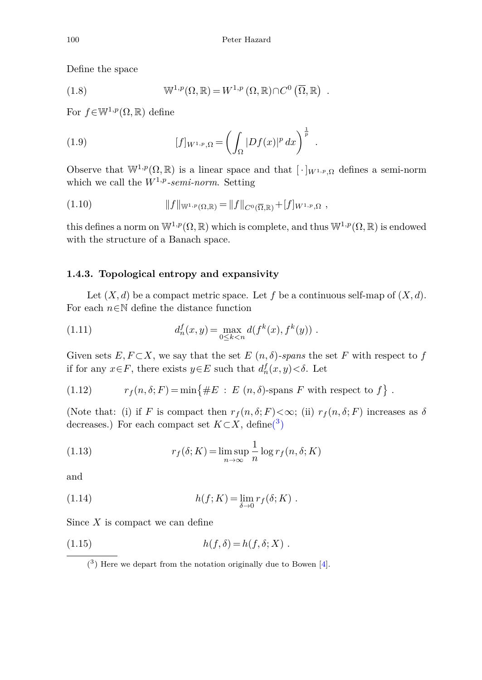Define the space

(1.8) 
$$
\mathbb{W}^{1,p}(\Omega,\mathbb{R}) = W^{1,p}(\Omega,\mathbb{R}) \cap C^{0}(\overline{\Omega},\mathbb{R}) .
$$

For  $f \in \mathbb{W}^{1,p}(\Omega,\mathbb{R})$  define

(1.9) 
$$
[f]_{W^{1,p},\Omega} = \left(\int_{\Omega} |Df(x)|^p dx\right)^{\frac{1}{p}}.
$$

Observe that  $\mathbb{W}^{1,p}(\Omega,\mathbb{R})$  is a linear space and that  $[\cdot]_{W^{1,p},\Omega}$  defines a semi-norm which we call the *W*1*,p-semi-norm*. Setting

(1.10) 
$$
||f||_{W^{1,p}(\Omega,\mathbb{R})} = ||f||_{C^0(\overline{\Omega},\mathbb{R})} + [f]_{W^{1,p},\Omega},
$$

this defines a norm on  $\mathbb{W}^{1,p}(\Omega,\mathbb{R})$  which is complete, and thus  $\mathbb{W}^{1,p}(\Omega,\mathbb{R})$  is endowed with the structure of a Banach space.

# **1.4.3. Topological entropy and expansivity**

Let  $(X, d)$  be a compact metric space. Let f be a continuous self-map of  $(X, d)$ . For each  $n \in \mathbb{N}$  define the distance function

(1.11) 
$$
d_n^f(x,y) = \max_{0 \le k < n} d(f^k(x), f^k(y)) \; .
$$

Given sets  $E, F \subset X$ , we say that the set  $E(n, \delta)$ *-spans* the set  $F$  with respect to  $f$ if for any  $x \in F$ , there exists  $y \in E$  such that  $d_n^f(x, y) < \delta$ . Let

(1.12) 
$$
r_f(n, \delta; F) = \min\{ \#E : E(n, \delta) \text{-spans } F \text{ with respect to } f \} .
$$

(Note that: (i) if *F* is compact then  $r_f(n, \delta; F) < \infty$ ; (ii)  $r_f(n, \delta; F)$  increases as  $\delta$ decreases.) For each compact set  $K \subset X$ , defin[e\(](#page-5-0)<sup>3</sup>)

(1.13) 
$$
r_f(\delta; K) = \limsup_{n \to \infty} \frac{1}{n} \log r_f(n, \delta; K)
$$

and

(1.14) 
$$
h(f;K) = \lim_{\delta \to 0} r_f(\delta;K) .
$$

Since *X* is compact we can define

$$
(1.15) \t\t\t h(f, \delta) = h(f, \delta; X) .
$$

<span id="page-5-0"></span> $(3)$  Here we depart from the notation originally due to Bowen [\[4\]](#page-23-12).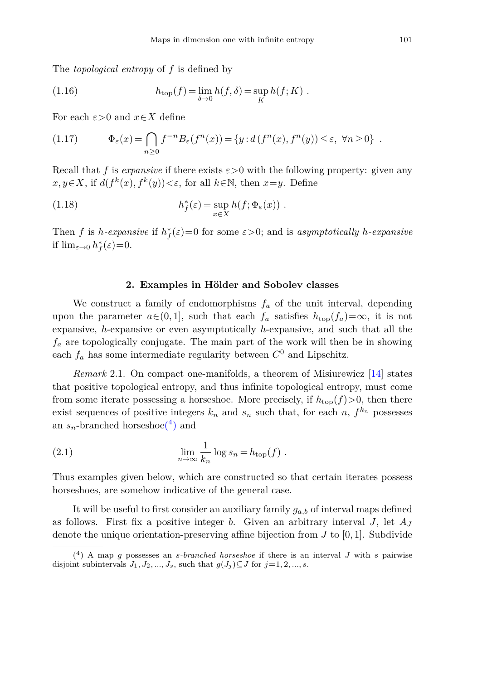The *topological entropy* of *f* is defined by

(1.16) 
$$
h_{\text{top}}(f) = \lim_{\delta \to 0} h(f, \delta) = \sup_K h(f; K) .
$$

For each  $\varepsilon > 0$  and  $x \in X$  define

(1.17) 
$$
\Phi_{\varepsilon}(x) = \bigcap_{n\geq 0} f^{-n} B_{\varepsilon}(f^n(x)) = \{y : d(f^n(x), f^n(y)) \leq \varepsilon, \ \forall n \geq 0\} .
$$

Recall that *f* is *expansive* if there exists  $\varepsilon > 0$  with the following property: given any  $x, y \in X$ , if  $d(f^k(x), f^k(y)) < \varepsilon$ , for all  $k \in \mathbb{N}$ , then  $x=y$ . Define

(1.18) 
$$
h_f^*(\varepsilon) = \sup_{x \in X} h(f; \Phi_{\varepsilon}(x)) .
$$

Then *f* is *h*-expansive if  $h_f^*(\varepsilon) = 0$  for some  $\varepsilon > 0$ ; and is asymptotically *h*-expansive if  $\lim_{\varepsilon \to 0} h_f^*(\varepsilon) = 0.$ 

#### **2. Examples in Hölder and Sobolev classes**

<span id="page-6-0"></span>We construct a family of endomorphisms  $f_a$  of the unit interval, depending upon the parameter  $a \in (0,1]$ , such that each  $f_a$  satisfies  $h_{\text{top}}(f_a) = \infty$ , it is not expansive, *h*-expansive or even asymptotically *h*-expansive, and such that all the *f<sup>a</sup>* are topologically conjugate. The main part of the work will then be in showing each  $f_a$  has some intermediate regularity between  $C^0$  and Lipschitz.

*Remark* 2.1. On compact one-manifolds, a theorem of Misiurewicz [\[14](#page-23-13)] states that positive topological entropy, and thus infinite topological entropy, must come from some iterate possessing a horseshoe. More precisely, if  $h_{\text{top}}(f) > 0$ , then there exist sequences of positive integers  $k_n$  and  $s_n$  such that, for each  $n, f^{k_n}$  possesses an  $s_n$ -branched horsesho[e\(](#page-6-1)<sup>4</sup>) and

(2.1) 
$$
\lim_{n \to \infty} \frac{1}{k_n} \log s_n = h_{\text{top}}(f) .
$$

Thus examples given below, which are constructed so that certain iterates possess horseshoes, are somehow indicative of the general case.

It will be useful to first consider an auxiliary family  $g_{a,b}$  of interval maps defined as follows. First fix a positive integer *b*. Given an arbitrary interval *J*, let *A<sup>J</sup>* denote the unique orientation-preserving affine bijection from *J* to [0*,* 1]. Subdivide

<span id="page-6-1"></span><sup>(</sup>4) A map *g* possesses an *s-branched horseshoe* if there is an interval *J* with *s* pairwise disjoint subintervals  $J_1, J_2, ..., J_s$ , such that  $g(J_i) \subseteq J$  for  $j=1, 2, ..., s$ .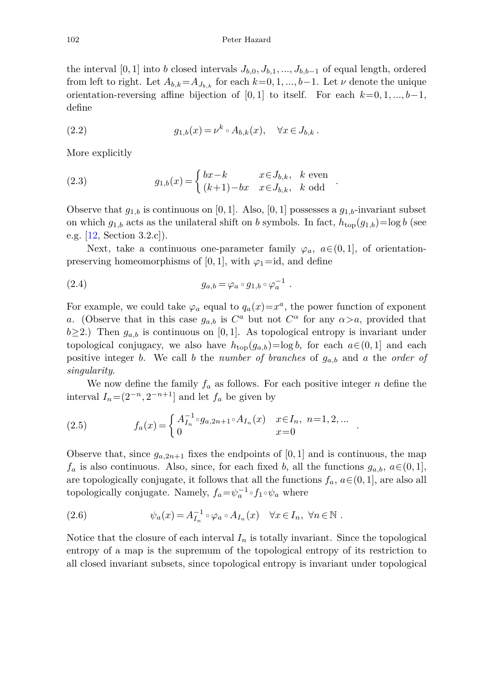the interval [0, 1] into *b* closed intervals  $J_{b,0}, J_{b,1}, ..., J_{b,b-1}$  of equal length, ordered from left to right. Let  $A_{b,k} = A_{J_{b,k}}$  for each  $k=0,1,...,b-1$ . Let  $\nu$  denote the unique orientation-reversing affine bijection of [0*,* 1] to itself. For each  $k=0,1,...,b-1$ , define

(2.2) 
$$
g_{1,b}(x) = \nu^k \circ A_{b,k}(x), \quad \forall x \in J_{b,k}.
$$

More explicitly

(2.3) 
$$
g_{1,b}(x) = \begin{cases} bx - k & x \in J_{b,k}, \& \text{even} \\ (k+1) - bx & x \in J_{b,k}, \& \text{odd} \end{cases}.
$$

Observe that  $g_{1,b}$  is continuous on [0, 1]. Also, [0, 1] possesses a  $g_{1,b}$ -invariant subset on which  $g_{1,b}$  acts as the unilateral shift on *b* symbols. In fact,  $h_{\text{top}}(g_{1,b}) = \log b$  (see e.g. [\[12,](#page-23-5) Section 3.2.c]).

Next, take a continuous one-parameter family  $\varphi_a$ ,  $a \in (0,1]$ , of orientationpreserving homeomorphisms of [0, 1], with  $\varphi_1 = id$ , and define

(2.4) 
$$
g_{a,b} = \varphi_a \circ g_{1,b} \circ \varphi_a^{-1} .
$$

For example, we could take  $\varphi_a$  equal to  $q_a(x)=x^a$ , the power function of exponent *a*. (Observe that in this case  $g_{a,b}$  is  $C^a$  but not  $C^{\alpha}$  for any  $\alpha > a$ , provided that  $b \geq 2$ .) Then  $g_{a,b}$  is continuous on [0, 1]. As topological entropy is invariant under topological conjugacy, we also have  $h_{\text{top}}(g_{a,b}) = \log b$ , for each  $a \in (0,1]$  and each positive integer *b*. We call *b* the *number of branches* of *ga,b* and *a* the *order of singularity*.

We now define the family  $f_a$  as follows. For each positive integer  $n$  define the interval  $I_n = (2^{-n}, 2^{-n+1}]$  and let  $f_a$  be given by

(2.5) 
$$
f_a(x) = \begin{cases} A_{I_n}^{-1} \circ g_{a,2n+1} \circ A_{I_n}(x) & x \in I_n, n=1,2,... \\ 0 & x=0 \end{cases}.
$$

Observe that, since  $g_{a,2n+1}$  fixes the endpoints of [0, 1] and is continuous, the map *f*<sup>*a*</sup> is also continuous. Also, since, for each fixed *b*, all the functions *g*<sub>*a*</sub>*b*, *a*∈(0, 1], are topologically conjugate, it follows that all the functions  $f_a$ ,  $a \in (0,1]$ , are also all topologically conjugate. Namely,  $f_a = \psi_a^{-1} \circ f_1 \circ \psi_a$  where

(2.6) 
$$
\psi_a(x) = A_{I_n}^{-1} \circ \varphi_a \circ A_{I_n}(x) \quad \forall x \in I_n, \ \forall n \in \mathbb{N} .
$$

Notice that the closure of each interval  $I_n$  is totally invariant. Since the topological entropy of a map is the supremum of the topological entropy of its restriction to all closed invariant subsets, since topological entropy is invariant under topological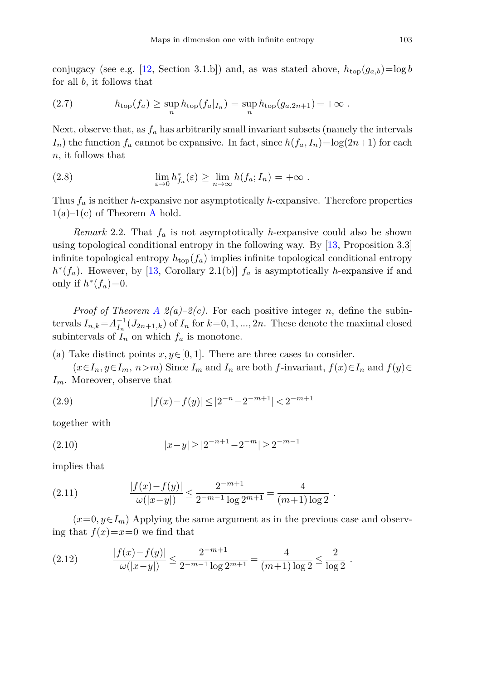conjugacy (see e.g. [\[12,](#page-23-5) Section 3.1.b]) and, as was stated above,  $h_{\text{top}}(g_{a,b}) = \log b$ for all *b*, it follows that

(2.7) 
$$
h_{\text{top}}(f_a) \geq \sup_n h_{\text{top}}(f_a|_{I_n}) = \sup_n h_{\text{top}}(g_{a,2n+1}) = +\infty.
$$

Next, observe that, as  $f_a$  has arbitrarily small invariant subsets (namely the intervals  $I_n$ ) the function  $f_a$  cannot be expansive. In fact, since  $h(f_a, I_n) = \log(2n+1)$  for each *n*, it follows that

(2.8) 
$$
\lim_{\varepsilon \to 0} h_{f_a}^*(\varepsilon) \ge \lim_{n \to \infty} h(f_a; I_n) = +\infty.
$$

Thus *f<sup>a</sup>* is neither *h*-expansive nor asymptotically *h*-expansive. Therefore properties  $1(a)-1(c)$  of Theorem [A](#page-2-0) hold.

*Remark* 2.2. That *f<sup>a</sup>* is not asymptotically *h*-expansive could also be shown using topological conditional entropy in the following way. By [\[13,](#page-23-14) Proposition 3.3] infinite topological entropy  $h_{\text{top}}(f_a)$  implies infinite topological conditional entropy  $h^*(f_a)$ . However, by [\[13](#page-23-14), Corollary 2.1(b)]  $f_a$  is asymptotically *h*-expansive if and only if  $h^*(f_a)=0$ .

*Proof of Theorem [A](#page-2-0)*  $2(a)-2(c)$ *.* For each positive integer *n*, define the subintervals  $I_{n,k} = A_{I_n}^{-1}(J_{2n+1,k})$  of  $I_n$  for  $k=0,1,\dots,2n$ . These denote the maximal closed subintervals of  $I_n$  on which  $f_a$  is monotone.

(a) Take distinct points  $x, y \in [0, 1]$ . There are three cases to consider.

 $(x \in I_n, y \in I_m, n>m)$  Since  $I_m$  and  $I_n$  are both  $f$ -invariant,  $f(x) \in I_n$  and  $f(y) \in I_m$ *Im*. Moreover, observe that

(2.9) 
$$
|f(x)-f(y)| \le |2^{-n} - 2^{-m+1}| < 2^{-m+1}
$$

together with

$$
(2.10) \t\t |x-y| \ge |2^{-n+1} - 2^{-m}| \ge 2^{-m-1}
$$

implies that

(2.11) 
$$
\frac{|f(x)-f(y)|}{\omega(|x-y|)} \le \frac{2^{-m+1}}{2^{-m-1}\log 2^{m+1}} = \frac{4}{(m+1)\log 2}.
$$

 $(x=0, y \in I_m)$  Applying the same argument as in the previous case and observing that  $f(x)=x=0$  we find that

(2.12) 
$$
\frac{|f(x)-f(y)|}{\omega(|x-y|)} \le \frac{2^{-m+1}}{2^{-m-1}\log 2^{m+1}} = \frac{4}{(m+1)\log 2} \le \frac{2}{\log 2}.
$$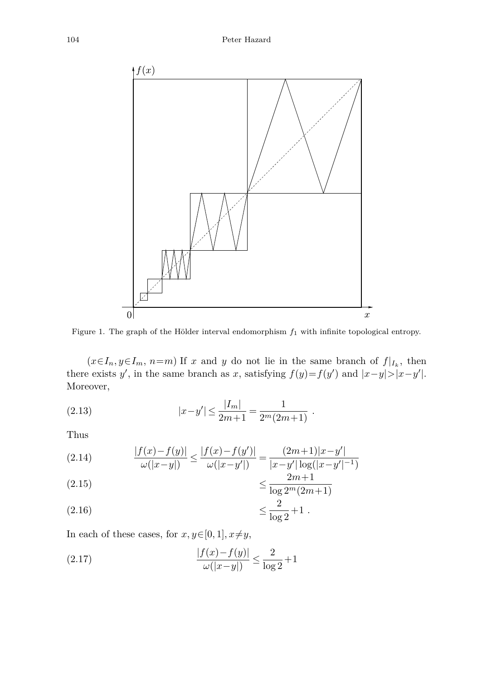

Figure 1. The graph of the Hölder interval endomorphism *f*<sup>1</sup> with infinite topological entropy.

 $(x \in I_n, y \in I_m, n=m)$  If *x* and *y* do not lie in the same branch of  $f|_{I_k}$ , then there exists *y*', in the same branch as *x*, satisfying  $f(y)=f(y')$  and  $|x-y|>|x-y'|$ . Moreover,

(2.13) 
$$
|x-y'| \le \frac{|I_m|}{2m+1} = \frac{1}{2^m(2m+1)}.
$$

Thus

(2.14) 
$$
\frac{|f(x)-f(y)|}{\omega(|x-y|)} \le \frac{|f(x)-f(y')|}{\omega(|x-y'|)} = \frac{(2m+1)|x-y'|}{|x-y'| \log(|x-y'|^{-1})}
$$

$$
\leq \frac{2m+1}{\log 2^m (2m+1)}
$$

(2.16) 
$$
\leq \frac{2}{\log 2} + 1
$$
.

In each of these cases, for  $x, y \in [0, 1], x \neq y$ ,

(2.17) 
$$
\frac{|f(x) - f(y)|}{\omega(|x - y|)} \le \frac{2}{\log 2} + 1
$$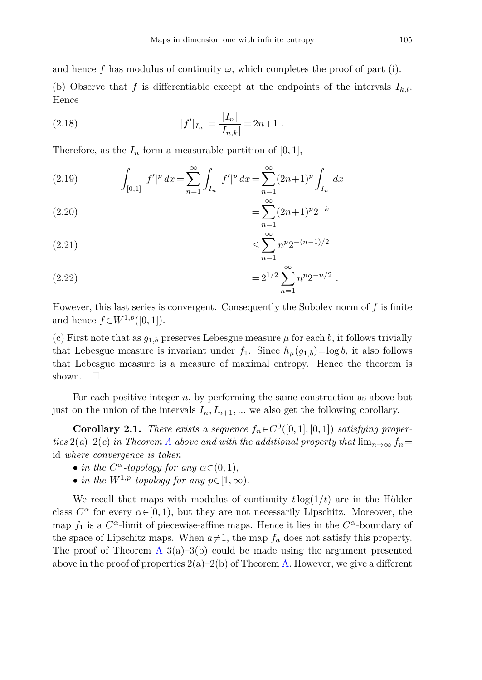and hence f has modulus of continuity  $\omega$ , which completes the proof of part (i).

(b) Observe that f is differentiable except at the endpoints of the intervals  $I_k$ . Hence

(2.18) 
$$
|f'|_{I_n}| = \frac{|I_n|}{|I_{n,k}|} = 2n+1.
$$

Therefore, as the  $I_n$  form a measurable partition of [0, 1],

(2.19) 
$$
\int_{[0,1]} |f'|^p dx = \sum_{n=1}^{\infty} \int_{I_n} |f'|^p dx = \sum_{n=1}^{\infty} (2n+1)^p \int_{I_n} dx
$$

$$
(2.20) \qquad \qquad = \sum_{n=1}^{\infty} (2n+1)^p 2^{-k}
$$

$$
\leq \sum_{n=1}^{\infty} n^p 2^{-(n-1)/2}
$$

(2.22) 
$$
=2^{1/2}\sum_{n=1}^{\infty}n^p2^{-n/2}.
$$

However, this last series is convergent. Consequently the Sobolev norm of *f* is finite and hence  $f \in W^{1,p}([0,1])$ .

(c) First note that as  $g_{1,b}$  preserves Lebesgue measure  $\mu$  for each *b*, it follows trivially that Lebesgue measure is invariant under  $f_1$ . Since  $h_\mu(g_{1,b}) = \log b$ , it also follows that Lebesgue measure is a measure of maximal entropy. Hence the theorem is shown.  $\Box$ 

For each positive integer *n*, by performing the same construction as above but just on the union of the intervals  $I_n, I_{n+1}, \ldots$  we also get the following corollary.

<span id="page-10-0"></span>**Corollary 2.1.** There exists a sequence  $f_n \in C^0([0,1], [0,1])$  satisfying proper-ties 2(a)–2(c) in Theorem [A](#page-2-0) above and with the additional property that  $\lim_{n\to\infty} f_n =$ id where convergence is taken

- in the  $C^{\alpha}$ -topology for any  $\alpha \in (0, 1)$ ,
- in the  $W^{1,p}$ -topology for any  $p \in [1,\infty)$ .

We recall that maps with modulus of continuity  $t \log(1/t)$  are in the Hölder class  $C^{\alpha}$  for every  $\alpha \in [0, 1)$ , but they are not necessarily Lipschitz. Moreover, the map  $f_1$  is a  $C^{\alpha}$ -limit of piecewise-affine maps. Hence it lies in the  $C^{\alpha}$ -boundary of the space of Lipschitz maps. When  $a \neq 1$ , the map  $f_a$  does not satisfy this property. The proof of Theorem [A](#page-2-0)  $3(a)-3(b)$  could be made using the argument presented above in the proof of properties  $2(a)-2(b)$  of Theorem [A.](#page-2-0) However, we give a different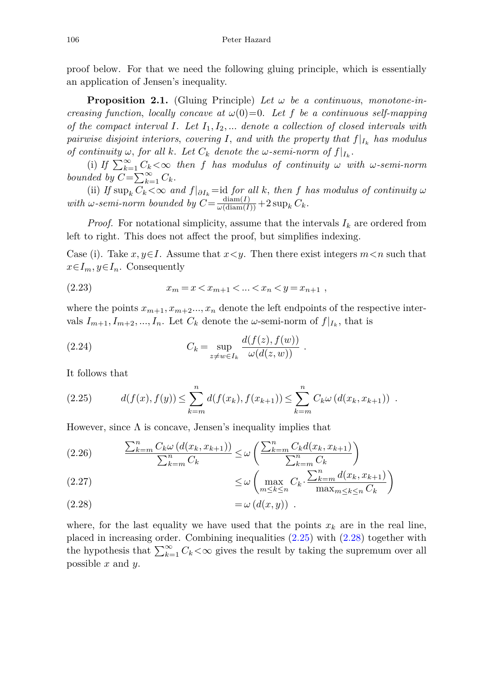proof below. For that we need the following gluing principle, which is essentially an application of Jensen's inequality.

<span id="page-11-2"></span>**Proposition 2.1.** (Gluing Principle) Let  $\omega$  be a continuous, monotone-increasing function, locally concave at  $\omega(0)=0$ . Let f be a continuous self-mapping of the compact interval *I*. Let *I*1*, I*2*, ...* denote a collection of closed intervals with pairwise disjoint interiors, covering *I*, and with the property that  $f|_{I_k}$  has modulus of continuity  $\omega$ , for all  $k$ . Let  $C_k$  denote the  $\omega$ -semi-norm of  $f|_{I_k}$ .

(i) If  $\sum_{k=1}^{\infty} C_k < \infty$  then f has modulus of continuity  $\omega$  with  $\omega$ -semi-norm bounded by  $C = \sum_{k=1}^{\infty} C_k$ .

(ii) If  $\sup_k C_k < \infty$  and  $f|_{\partial I_k} =$ id for all k, then f has modulus of continuity  $\omega$  $with \omega\text{-}semi-norm \ bounded \ by \ C = \frac{\text{diam}(I)}{\omega(\text{diam}(I))} + 2 \sup_k C_k.$ 

*Proof.* For notational simplicity, assume that the intervals  $I_k$  are ordered from left to right. This does not affect the proof, but simplifies indexing.

Case (i). Take *x*,  $y \in I$ . Assume that  $x \leq y$ . Then there exist integers  $m \leq n$  such that  $x \in I_m, y \in I_n$ . Consequently

(2.23) 
$$
x_m = x < x_{m+1} < \ldots < x_n < y = x_{n+1} \;,
$$

where the points  $x_{m+1}, x_{m+2}...$ ,  $x_n$  denote the left endpoints of the respective intervals  $I_{m+1}, I_{m+2}, ..., I_n$ . Let  $C_k$  denote the *ω*-semi-norm of  $f|_{I_k}$ , that is

(2.24) 
$$
C_k = \sup_{z \neq w \in I_k} \frac{d(f(z), f(w))}{\omega(d(z, w))}.
$$

It follows that

<span id="page-11-0"></span>
$$
(2.25) \t d(f(x), f(y)) \leq \sum_{k=m}^{n} d(f(x_k), f(x_{k+1})) \leq \sum_{k=m}^{n} C_k \omega (d(x_k, x_{k+1})) .
$$

However, since  $\Lambda$  is concave, Jensen's inequality implies that

$$
(2.26)\qquad \qquad \frac{\sum_{k=m}^{n} C_k \omega \left( d(x_k, x_{k+1}) \right)}{\sum_{k=m}^{n} C_k} \leq \omega \left( \frac{\sum_{k=m}^{n} C_k d(x_k, x_{k+1})}{\sum_{k=m}^{n} C_k} \right)
$$

(2.27) 
$$
\leq \omega \left( \max_{m \leq k \leq n} C_k \cdot \frac{\sum_{k=m}^n d(x_k, x_{k+1})}{\max_{m \leq k \leq n} C_k} \right)
$$

<span id="page-11-1"></span>
$$
(2.28) \qquad \qquad =\omega \left( d(x,y)\right) \ .
$$

where, for the last equality we have used that the points  $x_k$  are in the real line, placed in increasing order. Combining inequalities [\(2.25\)](#page-11-0) with [\(2.28\)](#page-11-1) together with the hypothesis that  $\sum_{k=1}^{\infty} C_k < \infty$  gives the result by taking the supremum over all possible *x* and *y*.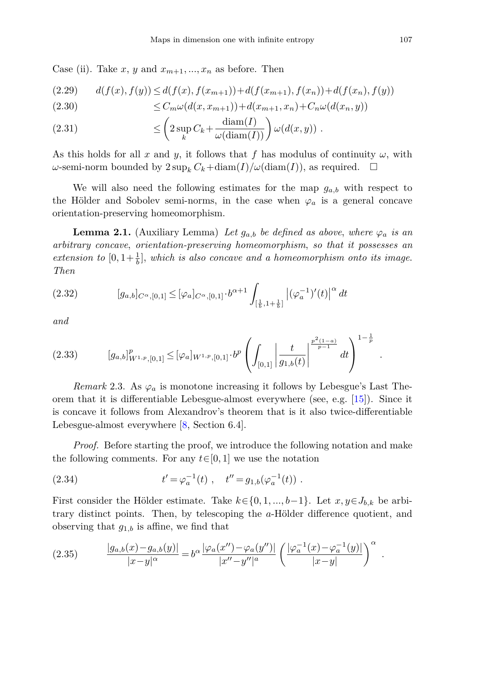Case (ii). Take  $x, y$  and  $x_{m+1},...,x_n$  as before. Then

$$
(2.29) \qquad d(f(x), f(y)) \le d(f(x), f(x_{m+1})) + d(f(x_{m+1}), f(x_n)) + d(f(x_n), f(y))
$$

(2.30) 
$$
\leq C_m \omega(d(x, x_{m+1})) + d(x_{m+1}, x_n) + C_n \omega(d(x_n, y))
$$

(2.31) 
$$
\leq \left(2 \sup_k C_k + \frac{\operatorname{diam}(I)}{\omega(\operatorname{diam}(I))}\right) \omega(d(x, y)) .
$$

As this holds for all *x* and *y*, it follows that *f* has modulus of continuity  $\omega$ , with  $\omega$ -semi-norm bounded by  $2 \sup_k C_k + \text{diam}(I)/\omega(\text{diam}(I)),$  as required.  $\Box$ 

We will also need the following estimates for the map  $g_{a,b}$  with respect to the Hölder and Sobolev semi-norms, in the case when  $\varphi_a$  is a general concave orientation-preserving homeomorphism.

**Lemma 2.1.** (Auxiliary Lemma) Let  $g_{a,b}$  be defined as above, where  $\varphi_a$  is an arbitrary concave, orientation-preserving homeomorphism, so that it possesses an extension to  $[0,1+\frac{1}{b}]$ , which is also concave and a homeomorphism onto its image. Then

<span id="page-12-0"></span>
$$
(2.32) \t\t [g_{a,b}]_{C^{\alpha},[0,1]} \leq [\varphi_a]_{C^{\alpha},[0,1]} \cdot b^{\alpha+1} \int_{[\frac{1}{b},1+\frac{1}{b}]} |(\varphi_a^{-1})'(t)|^{\alpha} dt
$$

<span id="page-12-1"></span>and

$$
(2.33) \t[g_{a,b}]_{W^{1,p},[0,1]}^p \leq [\varphi_a]_{W^{1,p},[0,1]} \cdot b^p \left( \int_{[0,1]} \left| \frac{t}{g_{1,b}(t)} \right|^{\frac{p^2(1-a)}{p-1}} dt \right)^{1-\frac{1}{p}}
$$

*Remark* 2.3. As  $\varphi_a$  is monotone increasing it follows by Lebesgue's Last Theorem that it is differentiable Lebesgue-almost everywhere (see, e.g. [\[15](#page-23-15)]). Since it is concave it follows from Alexandrov's theorem that is it also twice-differentiable Lebesgue-almost everywhere [\[8](#page-23-16), Section 6.4].

*Proof.* Before starting the proof, we introduce the following notation and make the following comments. For any  $t \in [0, 1]$  we use the notation

(2.34) 
$$
t' = \varphi_a^{-1}(t) , \quad t'' = g_{1,b}(\varphi_a^{-1}(t)) .
$$

First consider the Hölder estimate. Take  $k \in \{0, 1, ..., b-1\}$ . Let  $x, y \in J_{b,k}$  be arbitrary distinct points. Then, by telescoping the *a*-Hölder difference quotient, and observing that *g*1*,b* is affine, we find that

(2.35) 
$$
\frac{|g_{a,b}(x) - g_{a,b}(y)|}{|x - y|^{\alpha}} = b^{\alpha} \frac{|\varphi_a(x'') - \varphi_a(y'')|}{|x'' - y''|^a} \left( \frac{|\varphi_a^{-1}(x) - \varphi_a^{-1}(y)|}{|x - y|} \right)^{\alpha}.
$$

*.*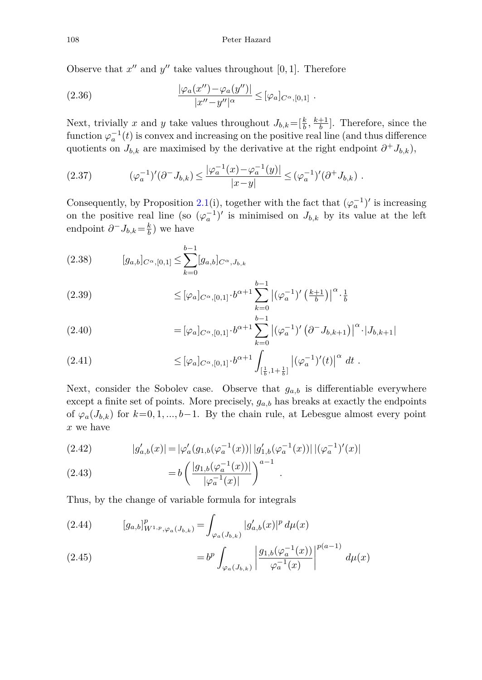Observe that  $x''$  and  $y''$  take values throughout [0, 1]. Therefore

(2.36) 
$$
\frac{|\varphi_a(x'') - \varphi_a(y'')|}{|x'' - y''|^{\alpha}} \leq [\varphi_a]_{C^{\alpha}, [0,1]}.
$$

Next, trivially *x* and *y* take values throughout  $J_{b,k} = \left[\frac{k}{b}, \frac{k+1}{b}\right]$ . Therefore, since the function  $\varphi_a^{-1}(t)$  is convex and increasing on the positive real line (and thus difference quotients on  $J_{b,k}$  are maximised by the derivative at the right endpoint  $\partial^+ J_{b,k}$ ,

$$
(2.37) \qquad (\varphi_a^{-1})'(\partial^- J_{b,k}) \le \frac{|\varphi_a^{-1}(x) - \varphi_a^{-1}(y)|}{|x - y|} \le (\varphi_a^{-1})'(\partial^+ J_{b,k}) \ .
$$

Consequently, by Proposition [2.1\(](#page-11-2)i), together with the fact that  $(\varphi_a^{-1})'$  is increasing on the positive real line (so  $(\varphi_a^{-1})'$  is minimised on  $J_{b,k}$  by its value at the left endpoint  $\partial^- J_{b,k} = \frac{k}{b}$  ) we have

$$
(2.38) \t [g_{a,b}]_{C^{\alpha},[0,1]} \leq \sum_{k=0}^{b-1} [g_{a,b}]_{C^{\alpha},J_{b,k}}
$$

$$
(2.39) \qquad \leq [\varphi_a]_{C^{\alpha},[0,1]} \cdot b^{\alpha+1} \sum_{k=0}^{b-1} |(\varphi_a^{-1})' (\tfrac{k+1}{b})|^{\alpha} \cdot \tfrac{1}{b}
$$

(2.40) = 
$$
[\varphi_a]_{C^{\alpha},[0,1]} \cdot b^{\alpha+1} \sum_{k=0}^{b-1} |(\varphi_a^{-1})' (\partial^- J_{b,k+1})|^{\alpha} \cdot |J_{b,k+1}|
$$

$$
(2.41) \qquad \leq [\varphi_a]_{C^{\alpha},[0,1]} \cdot b^{\alpha+1} \int_{[\frac{1}{b},1+\frac{1}{b}]} \left| (\varphi_a^{-1})'(t) \right|^{\alpha} dt \; .
$$

Next, consider the Sobolev case. Observe that  $g_{a,b}$  is differentiable everywhere except a finite set of points. More precisely,  $g_{a,b}$  has breaks at exactly the endpoints of  $\varphi_a(J_{b,k})$  for  $k=0,1,...,b-1$ . By the chain rule, at Lebesgue almost every point *x* we have

(2.42) 
$$
|g'_{a,b}(x)| = |\varphi'_a(g_{1,b}(\varphi_a^{-1}(x))| |g'_{1,b}(\varphi_a^{-1}(x))| |(\varphi_a^{-1})'(x)|
$$

(2.43) 
$$
= b \left( \frac{|g_{1,b}(\varphi_a^{-1}(x))|}{|\varphi_a^{-1}(x)|} \right)^{a-1} .
$$

Thus, by the change of variable formula for integrals

(2.44) 
$$
[g_{a,b}]_{W^{1,p},\varphi_a(J_{b,k})}^p = \int_{\varphi_a(J_{b,k})} |g'_{a,b}(x)|^p d\mu(x)
$$

(2.45) 
$$
=b^{p}\int_{\varphi_{a}(J_{b,k})}\left|\frac{g_{1,b}(\varphi_{a}^{-1}(x))}{\varphi_{a}^{-1}(x)}\right|^{p(a-1)}d\mu(x)
$$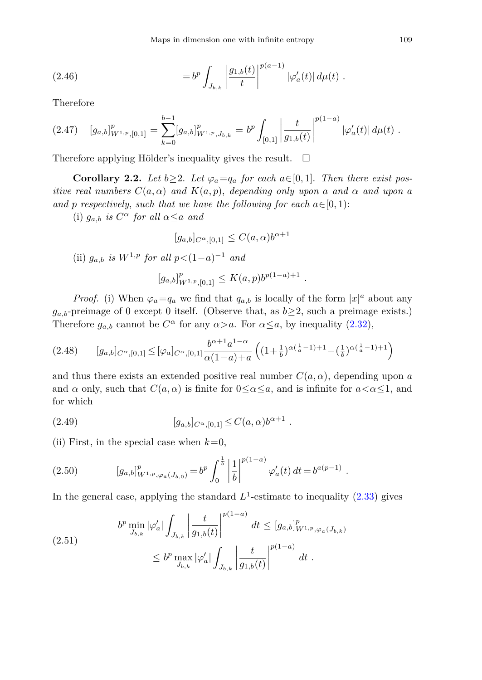(2.46) 
$$
= b^p \int_{J_{b,k}} \left| \frac{g_{1,b}(t)}{t} \right|^{p(a-1)} |\varphi'_a(t)| d\mu(t) .
$$

Therefore

$$
(2.47) \quad [g_{a,b}]_{W^{1,p},[0,1]}^p = \sum_{k=0}^{b-1} [g_{a,b}]_{W^{1,p},J_{b,k}}^p = b^p \int_{[0,1]} \left| \frac{t}{g_{1,b}(t)} \right|^{p(1-a)} |\varphi'_a(t)| d\mu(t) .
$$

Therefore applying Hölder's inequality gives the result.  $\Box$ 

<span id="page-14-1"></span>**Corollary 2.2.** Let  $b \geq 2$ . Let  $\varphi_a = q_a$  for each  $a \in [0, 1]$ . Then there exist positive real numbers  $C(a, \alpha)$  and  $K(a, p)$ , depending only upon *a* and  $\alpha$  and upon *a* and *p* respectively, such that we have the following for each  $a \in [0, 1)$ :

(i)  $g_{a,b}$  is  $C^{\alpha}$  for all  $\alpha \leq a$  and

$$
[g_{a,b}]_{C^{\alpha},[0,1]} \leq C(a,\alpha)b^{\alpha+1}
$$

(ii)  $g_{a,b}$  is  $W^{1,p}$  for all  $p < (1-a)^{-1}$  and

<span id="page-14-0"></span>
$$
[g_{a,b}]_{W^{1,p},[0,1]}^p \leq K(a,p)b^{p(1-a)+1} .
$$

*Proof.* (i) When  $\varphi_a = q_a$  we find that  $q_{a,b}$  is locally of the form  $|x|^a$  about any  $g_{a,b}$ -preimage of 0 except 0 itself. (Observe that, as  $b \geq 2$ , such a preimage exists.) Therefore  $g_{a,b}$  cannot be  $C^{\alpha}$  for any  $\alpha > a$ . For  $\alpha \leq a$ , by inequality [\(2.32\)](#page-12-0),

$$
(2.48) \qquad [g_{a,b}]_{C^{\alpha},[0,1]} \leq [\varphi_a]_{C^{\alpha},[0,1]} \frac{b^{\alpha+1}a^{1-\alpha}}{\alpha(1-a)+a} \left( (1+\frac{1}{b})^{\alpha(\frac{1}{a}-1)+1} - (\frac{1}{b})^{\alpha(\frac{1}{a}-1)+1} \right)
$$

and thus there exists an extended positive real number  $C(a, \alpha)$ , depending upon *a* and  $\alpha$  only, such that  $C(a, \alpha)$  is finite for  $0 \leq \alpha \leq a$ , and is infinite for  $a < \alpha \leq 1$ , and for which

(2.49) 
$$
[g_{a,b}]_{C^{\alpha},[0,1]} \leq C(a,\alpha)b^{\alpha+1} .
$$

(ii) First, in the special case when  $k=0$ ,

(2.50) 
$$
[g_{a,b}]_{W^{1,p},\varphi_a(J_{b,0})}^p = b^p \int_0^{\frac{1}{b}} \left| \frac{1}{b} \right|^{p(1-a)} \varphi'_a(t) dt = b^{a(p-1)}.
$$

In the general case, applying the standard  $L^1$ -estimate to inequality  $(2.33)$  gives

$$
(2.51) \t bp \min_{J_{b,k}} |\varphi'_a| \int_{J_{b,k}} \left| \frac{t}{g_{1,b}(t)} \right|^{p(1-a)} dt \leq [g_{a,b}]_{W^{1,p},\varphi_a(J_{b,k})}^p
$$
  

$$
\leq b^p \max_{J_{b,k}} |\varphi'_a| \int_{J_{b,k}} \left| \frac{t}{g_{1,b}(t)} \right|^{p(1-a)} dt.
$$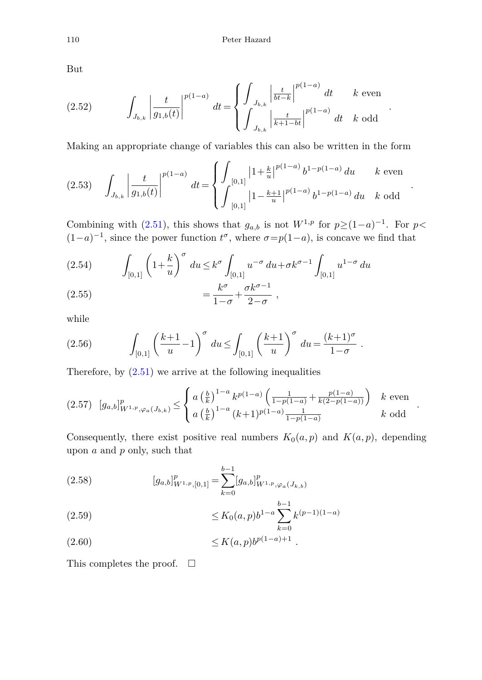But

(2.52) 
$$
\int_{J_{b,k}} \left| \frac{t}{g_{1,b}(t)} \right|^{p(1-a)} dt = \begin{cases} \int_{J_{b,k}} \left| \frac{t}{bt-k} \right|^{p(1-a)} dt & k \text{ even} \\ \int_{J_{b,k}} \left| \frac{t}{k+1-bt} \right|^{p(1-a)} dt & k \text{ odd} \end{cases}
$$

Making an appropriate change of variables this can also be written in the form

$$
(2.53) \quad \int_{J_{b,k}} \left| \frac{t}{g_{1,b}(t)} \right|^{p(1-a)} dt = \begin{cases} \int_{[0,1]} \left| 1 + \frac{k}{u} \right|^{p(1-a)} b^{1-p(1-a)} du & k \text{ even} \\ \int_{[0,1]} \left| 1 - \frac{k+1}{u} \right|^{p(1-a)} b^{1-p(1-a)} du & k \text{ odd} \end{cases}.
$$

Combining with [\(2.51\)](#page-14-0), this shows that  $g_{a,b}$  is not  $W^{1,p}$  for  $p \ge (1-a)^{-1}$ . For  $p <$  $(1-a)^{-1}$ , since the power function  $t^{\sigma}$ , where  $\sigma = p(1-a)$ , is concave we find that

(2.54) 
$$
\int_{[0,1]} \left(1 + \frac{k}{u}\right)^{\sigma} du \leq k^{\sigma} \int_{[0,1]} u^{-\sigma} du + \sigma k^{\sigma-1} \int_{[0,1]} u^{1-\sigma} du
$$

$$
(2.55) \qquad \qquad = \frac{k^{\sigma}}{1-\sigma} + \frac{\sigma k^{\sigma-1}}{2-\sigma} \;,
$$

while

(2.56) 
$$
\int_{[0,1]} \left(\frac{k+1}{u} - 1\right)^{\sigma} du \le \int_{[0,1]} \left(\frac{k+1}{u}\right)^{\sigma} du = \frac{(k+1)^{\sigma}}{1-\sigma}.
$$

Therefore, by  $(2.51)$  we arrive at the following inequalities

$$
(2.57) \left[g_{a,b}\right]_{W^{1,p},\varphi_a(J_{b,k})}^p \leq \begin{cases} a\left(\frac{b}{k}\right)^{1-a} k^{p(1-a)} \left(\frac{1}{1-p(1-a)} + \frac{p(1-a)}{k(2-p(1-a))}\right) & k \text{ even} \\ a\left(\frac{b}{k}\right)^{1-a} (k+1)^{p(1-a)} \frac{1}{1-p(1-a)} & k \text{ odd} \end{cases}.
$$

Consequently, there exist positive real numbers  $K_0(a, p)$  and  $K(a, p)$ , depending upon *a* and *p* only, such that

(2.58) 
$$
[g_{a,b}]_{W^{1,p},[0,1]}^p = \sum_{k=0}^{b-1} [g_{a,b}]_{W^{1,p},\varphi_a(J_{k,b})}^p
$$

$$
\leq K_0(a,p)b^{1-a}\sum_{k=0}^{b-1}k^{(p-1)(1-a)}
$$

<sup>≤</sup> *<sup>K</sup>*(*a, p*)*b<sup>p</sup>*(1−*a*)+1 (2.60) *.*

This completes the proof.  $\Box$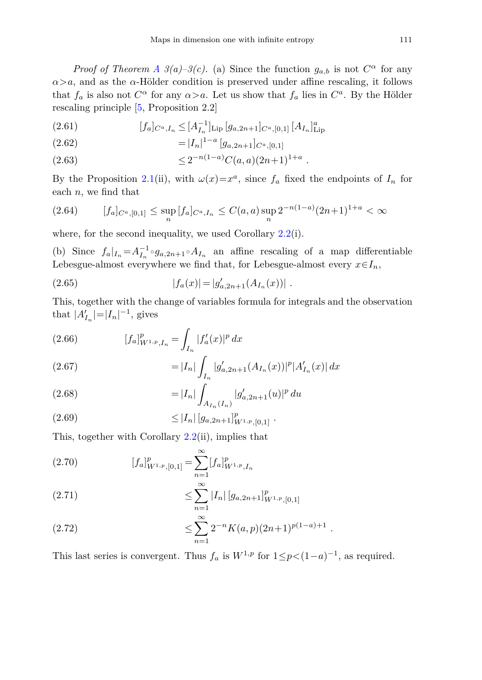*Proof of Theorem [A](#page-2-0) 3(a)–3(c).* (a) Since the function  $g_{a,b}$  is not  $C^{\alpha}$  for any *α>a*, and as the *α*-Hölder condition is preserved under affine rescaling, it follows that  $f_a$  is also not  $C^{\alpha}$  for any  $\alpha > a$ . Let us show that  $f_a$  lies in  $C^a$ . By the Hölder rescaling principle [\[5](#page-23-8), Proposition 2.2]

(2.61) 
$$
[f_a]_{C^a,I_n} \leq [A_{I_n}^{-1}]_{\text{Lip}} [g_{a,2n+1}]_{C^a,[0,1]} [A_{I_n}]_{\text{Lip}}^a
$$

(2.62) 
$$
= |I_n|^{1-a} [g_{a,2n+1}]_{C^a,[0,1]}
$$

 $\leq 2^{-n(1-a)}C(a,a)(2n+1)^{1+a}.$ 

By the Proposition [2.1\(](#page-11-2)ii), with  $\omega(x)=x^a$ , since  $f_a$  fixed the endpoints of  $I_n$  for each *n*, we find that

$$
(2.64) \t\t [f_a]_{C^a,[0,1]} \leq \sup_n [f_a]_{C^a,I_n} \leq C(a,a) \sup_n 2^{-n(1-a)} (2n+1)^{1+a} < \infty
$$

where, for the second inequality, we used Corollary [2.2\(](#page-14-1)i).

(b) Since  $f_a|_{I_n} = A_{I_n}^{-1} \circ g_{a,2n+1} \circ A_{I_n}$  an affine rescaling of a map differentiable Lebesgue-almost everywhere we find that, for Lebesgue-almost every  $x \in I_n$ ,

(2.65) 
$$
|f_a(x)| = |g'_{a,2n+1}(A_{I_n}(x))|.
$$

This, together with the change of variables formula for integrals and the observation that  $|A'_{I_n}| = |I_n|^{-1}$ , gives

(2.66) 
$$
[f_a]_{W^{1,p},I_n}^p = \int_{I_n} |f'_a(x)|^p dx
$$

$$
= |I| \int_{I_n} |g'_a(x)|^p dx
$$

(2.67) 
$$
= |I_n| \int_{I_n} |g'_{a,2n+1}(A_{I_n}(x))|^p |A'_{I_n}(x)| dx
$$

(2.68) 
$$
= |I_n| \int_{A_{I_n}(I_n)} |g'_{a,2n+1}(u)|^p du
$$

≤ |*In*| [*ga,*2*n*+1] *p <sup>W</sup>*1*,p,*[0*,*1] (2.69) *.*

This, together with Corollary  $2.2$ (ii), implies that

(2.70) 
$$
[f_a]_{W^{1,p},[0,1]}^p = \sum_{n=1}^{\infty} [f_a]_{W^{1,p},I_n}^p
$$

(2.71) 
$$
\leq \sum_{n=1}^{\infty} |I_n| \left[ g_{a,2n+1} \right]_{W^{1,p},[0,1]}^p
$$

(2.72) 
$$
\leq \sum_{n=1}^{\infty} 2^{-n} K(a, p) (2n+1)^{p(1-a)+1}.
$$

This last series is convergent. Thus  $f_a$  is  $W^{1,p}$  for  $1 \leq p < (1-a)^{-1}$ , as required.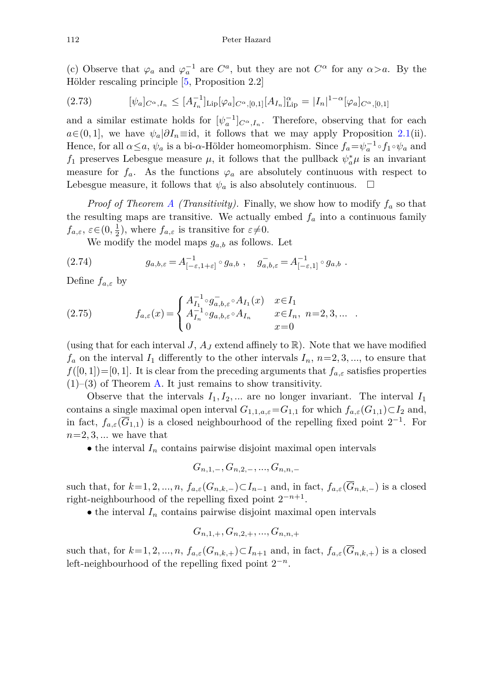(c) Observe that  $\varphi_a$  and  $\varphi_a^{-1}$  are  $C^a$ , but they are not  $C^{\alpha}$  for any  $\alpha > a$ . By the Hölder rescaling principle [\[5,](#page-23-8) Proposition 2.2]

$$
(2.73) \t\t [ \psi_a]_{C^{\alpha},I_n} \leq [A_{I_n}^{-1}]_{\text{Lip}} [\varphi_a]_{C^{\alpha},[0,1]} [A_{I_n}]_{\text{Lip}}^{\alpha} = |I_n|^{1-\alpha} [\varphi_a]_{C^{\alpha},[0,1]}
$$

and a similar estimate holds for  $[\psi_a^{-1}]_{C^{\alpha},I_n}$ . Therefore, observing that for each  $a \in (0, 1]$ , we have  $\psi_a | \partial I_n \equiv id$ , it follows that we may apply Proposition [2.1\(](#page-11-2)ii). Hence, for all  $\alpha \leq a$ ,  $\psi_a$  is a bi- $\alpha$ -Hölder homeomorphism. Since  $f_a = \psi_a^{-1} \circ f_1 \circ \psi_a$  and *f*<sub>1</sub> preserves Lebesgue measure  $\mu$ , it follows that the pullback  $\psi_a^* \mu$  is an invariant measure for  $f_a$ . As the functions  $\varphi_a$  are absolutely continuous with respect to Lebesgue measure, it follows that  $\psi_a$  is also absolutely continuous.  $\Box$ 

*Proof of Theorem [A](#page-2-0) (Transitivity).* Finally, we show how to modify *f<sup>a</sup>* so that the resulting maps are transitive. We actually embed  $f_a$  into a continuous family  $f_{a,\varepsilon}$ ,  $\varepsilon \in (0, \frac{1}{2})$ , where  $f_{a,\varepsilon}$  is transitive for  $\varepsilon \neq 0$ .

We modify the model maps  $g_{a,b}$  as follows. Let

(2.74) 
$$
g_{a,b,\varepsilon} = A_{[-\varepsilon,1+\varepsilon]}^{-1} \circ g_{a,b} , \quad g_{a,b,\varepsilon}^- = A_{[-\varepsilon,1]}^{-1} \circ g_{a,b} .
$$

Define *fa,ε* by

(2.75) 
$$
f_{a,\varepsilon}(x) = \begin{cases} A_{I_1}^{-1} \circ g_{a,b,\varepsilon}^{-} \circ A_{I_1}(x) & x \in I_1 \\ A_{I_n}^{-1} \circ g_{a,b,\varepsilon} \circ A_{I_n} & x \in I_n, \ n = 2, 3, \dots \\ 0 & x = 0 \end{cases}
$$

(using that for each interval *J*,  $A_J$  extend affinely to  $\mathbb{R}$ ). Note that we have modified  $f_a$  on the interval  $I_1$  differently to the other intervals  $I_n$ ,  $n=2,3,...$ , to ensure that  $f([0,1])=[0,1]$ . It is clear from the preceding arguments that  $f_{a,\varepsilon}$  satisfies properties  $(1)$ – $(3)$  of Theorem [A.](#page-2-0) It just remains to show transitivity.

Observe that the intervals  $I_1, I_2, \ldots$  are no longer invariant. The interval  $I_1$ contains a single maximal open interval  $G_{1,1,a,\varepsilon} = G_{1,1}$  for which  $f_{a,\varepsilon}(G_{1,1}) \subset I_2$  and, in fact,  $f_{a,\varepsilon}(\overline{G}_{1,1})$  is a closed neighbourhood of the repelling fixed point  $2^{-1}$ . For  $n=2, 3, \ldots$  we have that

 $\bullet$  the interval  $I_n$  contains pairwise disjoint maximal open intervals

$$
G_{n,1,-}, G_{n,2,-},...,G_{n,n,-}
$$

such that, for  $k=1,2,...,n$ ,  $f_{a,\varepsilon}(G_{n,k,-})\subset I_{n-1}$  and, in fact,  $f_{a,\varepsilon}(\overline{G}_{n,k,-})$  is a closed right-neighbourhood of the repelling fixed point 2−*n*+1.

 $\bullet$  the interval  $I_n$  contains pairwise disjoint maximal open intervals

$$
G_{n,1, +}, G_{n,2, +}, ..., G_{n,n,+}
$$

such that, for  $k=1,2,...,n$ ,  $f_{a,\epsilon}(G_{n,k,+})\subset I_{n+1}$  and, in fact,  $f_{a,\epsilon}(\overline{G}_{n,k,+})$  is a closed left-neighbourhood of the repelling fixed point 2−*<sup>n</sup>*.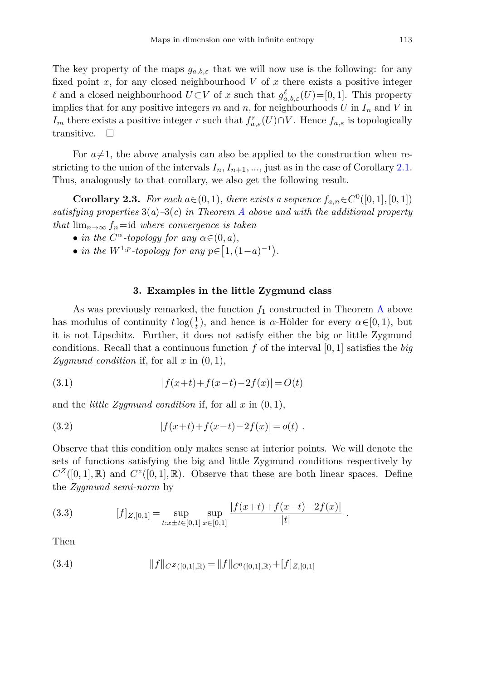The key property of the maps  $g_{a,b,\varepsilon}$  that we will now use is the following: for any fixed point  $x$ , for any closed neighbourhood  $V$  of  $x$  there exists a positive integer *l* and a closed neighbourhood  $U\subset V$  of *x* such that  $g^{\ell}_{a,b,\varepsilon}(U)=[0,1]$ . This property implies that for any positive integers  $m$  and  $n$ , for neighbourhoods  $U$  in  $I_n$  and  $V$  in *I*<sup>m</sup> there exists a positive integer *r* such that  $f_{a,\varepsilon}^r(U) \cap V$ . Hence  $f_{a,\varepsilon}$  is topologically transitive.  $\Box$ 

For  $a\neq 1$ , the above analysis can also be applied to the construction when restricting to the union of the intervals  $I_n, I_{n+1}, \ldots$ , just as in the case of Corollary [2.1.](#page-10-0) Thus, analogously to that corollary, we also get the following result.

**Corollary 2.3.** For each  $a \in (0, 1)$ , there exists a sequence  $f_{a,n} \in C^0([0, 1], [0, 1])$ satisfying properties  $3(a)-3(c)$  in Theorem [A](#page-2-0) above and with the additional property that  $\lim_{n\to\infty} f_n = id$  where convergence is taken

- in the  $C^{\alpha}$ -topology for any  $\alpha \in (0, a)$ ,
- *in the*  $W^{1,p}$ -topology for any  $p \in [1, (1-a)^{-1})$ .

# **3. Examples in the little Zygmund class**

<span id="page-18-0"></span>[A](#page-2-0)s was previously remarked, the function  $f_1$  constructed in Theorem A above has modulus of continuity  $t \log(\frac{1}{t})$ , and hence is *α*-Hölder for every  $\alpha \in [0, 1)$ , but it is not Lipschitz. Further, it does not satisfy either the big or little Zygmund conditions. Recall that a continuous function *f* of the interval [0*,* 1] satisfies the *big Zygmund condition* if, for all  $x$  in  $(0, 1)$ ,

(3.1) 
$$
|f(x+t) + f(x-t) - 2f(x)| = O(t)
$$

and the *little Zygmund condition* if, for all *x* in (0*,* 1),

(3.2) 
$$
|f(x+t)+f(x-t)-2f(x)|=o(t).
$$

Observe that this condition only makes sense at interior points. We will denote the sets of functions satisfying the big and little Zygmund conditions respectively by  $C^Z([0,1],\mathbb{R})$  and  $C^Z([0,1],\mathbb{R})$ . Observe that these are both linear spaces. Define the *Zygmund semi-norm* by

(3.3) 
$$
[f]_{Z,[0,1]} = \sup_{t:x\pm t\in[0,1]} \sup_{x\in[0,1]} \frac{|f(x+t)+f(x-t)-2f(x)|}{|t|}.
$$

Then

(3.4) 
$$
||f||_{C^{Z}([0,1],\mathbb{R})} = ||f||_{C^{0}([0,1],\mathbb{R})} + [f]_{Z,[0,1]}
$$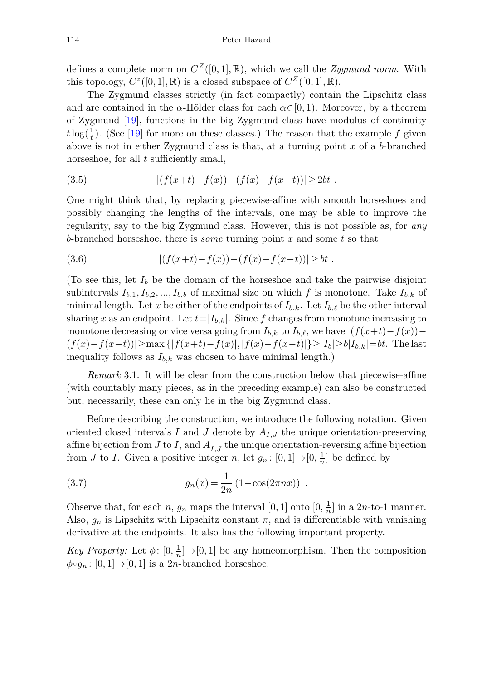defines a complete norm on  $C^Z([0,1],\mathbb{R})$ , which we call the *Zygmund norm*. With this topology,  $C^z([0,1], \mathbb{R})$  is a closed subspace of  $C^Z([0,1], \mathbb{R})$ .

The Zygmund classes strictly (in fact compactly) contain the Lipschitz class and are contained in the  $\alpha$ -Hölder class for each  $\alpha \in [0, 1)$ . Moreover, by a theorem of Zygmund [\[19](#page-23-9)], functions in the big Zygmund class have modulus of continuity  $t \log(\frac{1}{t})$ . (See [\[19](#page-23-9)] for more on these classes.) The reason that the example *f* given above is not in either Zygmund class is that, at a turning point *x* of a *b*-branched horseshoe, for all *t* sufficiently small,

(3.5) 
$$
|(f(x+t)-f(x)) - (f(x) - f(x-t))| \geq 2bt.
$$

One might think that, by replacing piecewise-affine with smooth horseshoes and possibly changing the lengths of the intervals, one may be able to improve the regularity, say to the big Zygmund class. However, this is not possible as, for *any b*-branched horseshoe, there is *some* turning point *x* and some *t* so that

(3.6) 
$$
|(f(x+t)-f(x)) - (f(x) - f(x-t))| \geq bt.
$$

(To see this, let  $I_b$  be the domain of the horseshoe and take the pairwise disjoint subintervals  $I_{b,1}, I_{b,2},..., I_{b,b}$  of maximal size on which f is monotone. Take  $I_{b,k}$  of minimal length. Let x be either of the endpoints of  $I_{b,k}$ . Let  $I_{b,\ell}$  be the other interval sharing *x* as an endpoint. Let  $t=|I_{b,k}|$ . Since f changes from monotone increasing to monotone decreasing or vice versa going from  $I_{b,k}$  to  $I_{b,\ell}$ , we have  $|(f(x+t)-f(x)) |f(x)-f(x-t)| \geq \max\{|f(x+t)-f(x)|,|f(x)-f(x-t)|\}\geq |I_b|\geq b|I_{b,k}|=bt.$  The last inequality follows as  $I_{b,k}$  was chosen to have minimal length.)

*Remark* 3.1. It will be clear from the construction below that piecewise-affine (with countably many pieces, as in the preceding example) can also be constructed but, necessarily, these can only lie in the big Zygmund class.

Before describing the construction, we introduce the following notation. Given oriented closed intervals *I* and *J* denote by *AI,J* the unique orientation-preserving affine bijection from *J* to *I*, and  $A_{I,J}^-$  the unique orientation-reversing affine bijection from *J* to *I*. Given a positive integer *n*, let  $g_n$ :  $[0, 1] \rightarrow [0, \frac{1}{n}]$  be defined by

(3.7) 
$$
g_n(x) = \frac{1}{2n} (1 - \cos(2\pi nx)) .
$$

Observe that, for each *n*,  $g_n$  maps the interval  $[0, 1]$  onto  $[0, \frac{1}{n}]$  in a 2*n*-to-1 manner. Also,  $g_n$  is Lipschitz with Lipschitz constant  $\pi$ , and is differentiable with vanishing derivative at the endpoints. It also has the following important property.

*Key Property:* Let  $\phi$ :  $[0, \frac{1}{n}] \rightarrow [0, 1]$  be any homeomorphism. Then the composition  $\phi \circ g_n : [0,1] \rightarrow [0,1]$  is a 2*n*-branched horseshoe.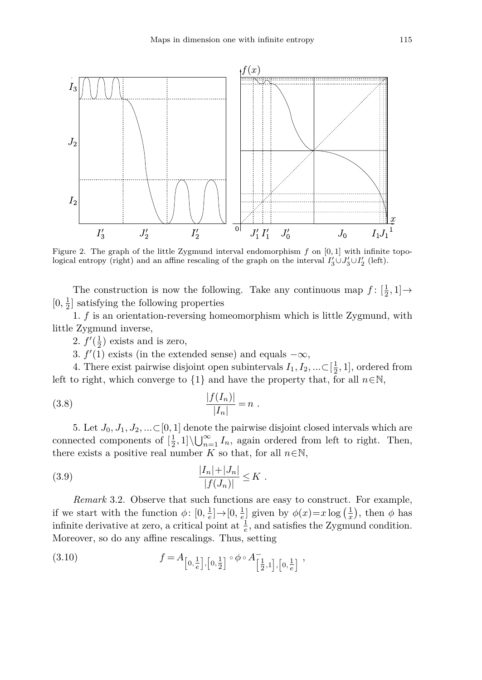

Figure 2. The graph of the little Zygmund interval endomorphism *f* on [0*,* 1] with infinite topological entropy (right) and an affine rescaling of the graph on the interval  $I'_3 \cup J'_3 \cup I'_2$  (left).

The construction is now the following. Take any continuous map  $f: [\frac{1}{2}, 1] \rightarrow$  $[0, \frac{1}{2}]$  satisfying the following properties

1. *f* is an orientation-reversing homeomorphism which is little Zygmund, with little Zygmund inverse,

2.  $f'(\frac{1}{2})$  exists and is zero,

<span id="page-20-0"></span>3.  $f'(1)$  exists (in the extended sense) and equals  $-\infty$ ,

4. There exist pairwise disjoint open subintervals  $I_1, I_2, ... \subset [\frac{1}{2}, 1]$ , ordered from left to right, which converge to  $\{1\}$  and have the property that, for all  $n \in \mathbb{N}$ .

(3.8) 
$$
\frac{|f(I_n)|}{|I_n|} = n.
$$

5. Let  $J_0, J_1, J_2, \ldots \subset [0, 1]$  denote the pairwise disjoint closed intervals which are connected components of  $\left[\frac{1}{2},1\right] \setminus \bigcup_{n=1}^{\infty} I_n$ , again ordered from left to right. Then, there exists a positive real number *K* so that, for all  $n \in \mathbb{N}$ ,

(3.9) 
$$
\frac{|I_n| + |J_n|}{|f(J_n)|} \leq K.
$$

*Remark* 3.2. Observe that such functions are easy to construct. For example, if we start with the function  $\phi: [0, \frac{1}{e}] \to [0, \frac{1}{e}]$  given by  $\phi(x)=x \log(\frac{1}{x})$ , then  $\phi$  has infinite derivative at zero, a critical point at  $\frac{1}{e}$ , and satisfies the Zygmund condition. Moreover, so do any affine rescalings. Thus, setting

(3.10) 
$$
f = A_{\left[0, \frac{1}{e}\right], \left[0, \frac{1}{2}\right]} \circ \phi \circ A_{\left[\frac{1}{2}, 1\right], \left[0, \frac{1}{e}\right]}^{-},
$$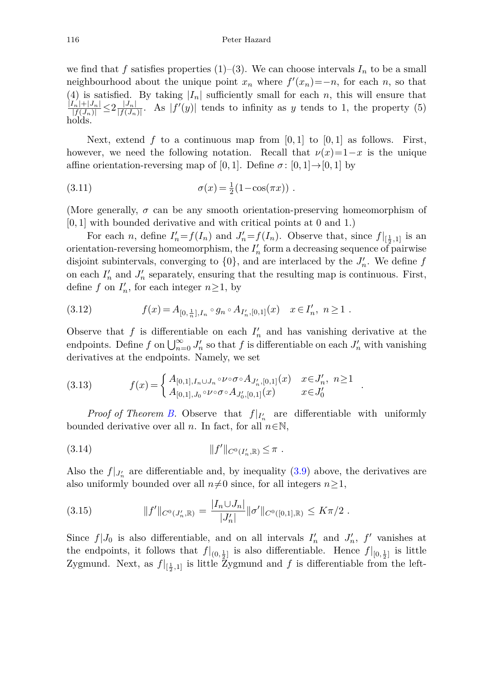we find that f satisfies properties  $(1)-(3)$ . We can choose intervals  $I_n$  to be a small neighbourhood about the unique point  $x_n$  where  $f'(x_n) = -n$ , for each *n*, so that (4) is satisfied. By taking  $|I_n|$  sufficiently small for each *n*, this will ensure that  $\frac{|I_n|+|J_n|}{|f(J_n)|} \leq 2 \frac{|J_n|}{|f(J_n)|}$ . As  $|f'(y)|$  tends to infinity as *y* tends to 1, the property (5) holds.

Next, extend f to a continuous map from  $[0,1]$  to  $[0,1]$  as follows. First, however, we need the following notation. Recall that  $\nu(x)=1-x$  is the unique affine orientation-reversing map of [0, 1]. Define  $\sigma$ : [0, 1] $\rightarrow$ [0, 1] by

(3.11) 
$$
\sigma(x) = \frac{1}{2}(1 - \cos(\pi x)) .
$$

(More generally,  $\sigma$  can be any smooth orientation-preserving homeomorphism of [0*,* 1] with bounded derivative and with critical points at 0 and 1.)

For each *n*, define  $I'_n = f(I_n)$  and  $J'_n = f(I_n)$ . Observe that, since  $f|_{[\frac{1}{2},1]}$  is an orientation-reversing homeomorphism, the *I <sup>n</sup>* form a decreasing sequence of pairwise disjoint subintervals, converging to  $\{0\}$ , and are interlaced by the  $J'_n$ . We define  $f$ on each  $I'_n$  and  $J'_n$  separately, ensuring that the resulting map is continuous. First, define  $f$  on  $I'_n$ , for each integer  $n \geq 1$ , by

(3.12) 
$$
f(x) = A_{[0, \frac{1}{n}], I_n} \circ g_n \circ A_{I'_n, [0,1]}(x) \quad x \in I'_n, \ n \ge 1.
$$

Observe that  $f$  is differentiable on each  $I'_n$  and has vanishing derivative at the endpoints. Define  $f$  on  $\bigcup_{n=0}^{\infty} J'_n$  so that  $f$  is differentiable on each  $J'_n$  with vanishing derivatives at the endpoints. Namely, we set

(3.13) 
$$
f(x) = \begin{cases} A_{[0,1], I_n \cup J_n} \circ \nu \circ \sigma \circ A_{J'_n, [0,1]}(x) & x \in J'_n, n \ge 1 \\ A_{[0,1], J_0} \circ \nu \circ \sigma \circ A_{J'_0, [0,1]}(x) & x \in J'_0 \end{cases}
$$

*Proof of Theorem [B.](#page-3-0)* Observe that  $f|_{I'_n}$  are differentiable with uniformly bounded derivative over all *n*. In fact, for all  $n \in \mathbb{N}$ ,

*.*

$$
(3.14) \t\t\t\t ||f'||_{C^0(I'_n,\mathbb{R})} \leq \pi.
$$

Also the  $f|_{J'_n}$  are differentiable and, by inequality  $(3.9)$  above, the derivatives are also uniformly bounded over all  $n\neq 0$  since, for all integers  $n\geq 1$ ,

(3.15) 
$$
||f'||_{C^0(J'_n,\mathbb{R})} = \frac{|I_n \cup J_n|}{|J'_n|} ||\sigma'||_{C^0([0,1],\mathbb{R})} \leq K\pi/2.
$$

Since  $f|J_0$  is also differentiable, and on all intervals  $I'_n$  and  $J'_n$ ,  $f'$  vanishes at the endpoints, it follows that  $f|_{(0, \frac{1}{2}]}$  is also differentiable. Hence  $f|_{[0, \frac{1}{2}]}$  is little Zygmund. Next, as  $f|_{[\frac{1}{2},1]}$  is little Zygmund and f is differentiable from the left-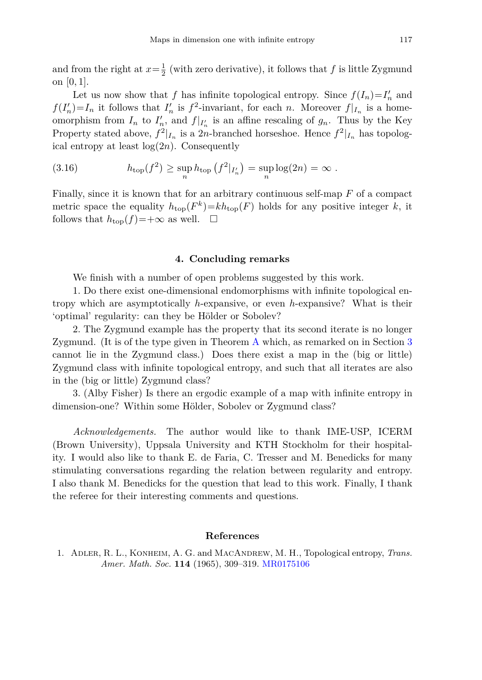and from the right at  $x = \frac{1}{2}$  (with zero derivative), it follows that *f* is little Zygmund on [0*,* 1].

Let us now show that *f* has infinite topological entropy. Since  $f(I_n) = I'_n$  and  $f(I'_n) = I_n$  it follows that  $I'_n$  is  $f^2$ -invariant, for each *n*. Moreover  $f|_{I_n}$  is a homeomorphism from  $I_n$  to  $I'_n$ , and  $f|_{I'_n}$  is an affine rescaling of  $g_n$ . Thus by the Key Property stated above,  $f^2|_{I_n}$  is a 2*n*-branched horseshoe. Hence  $f^2|_{I_n}$  has topological entropy at least  $log(2n)$ . Consequently

(3.16) 
$$
h_{\text{top}}(f^2) \ge \sup_n h_{\text{top}}(f^2|_{I'_n}) = \sup_n \log(2n) = \infty.
$$

Finally, since it is known that for an arbitrary continuous self-map *F* of a compact metric space the equality  $h_{\text{top}}(F^k) = kh_{\text{top}}(F)$  holds for any positive integer *k*, it follows that  $h_{\text{top}}(f) = +\infty$  as well.  $\Box$ 

## **4. Concluding remarks**

<span id="page-22-1"></span>We finish with a number of open problems suggested by this work.

1. Do there exist one-dimensional endomorphisms with infinite topological entropy which are asymptotically *h*-expansive, or even *h*-expansive? What is their 'optimal' regularity: can they be Hölder or Sobolev?

2. The Zygmund example has the property that its second iterate is no longer Zygmund. (It is of the type given in Theorem [A](#page-2-0) which, as remarked on in Section [3](#page-18-0) cannot lie in the Zygmund class.) Does there exist a map in the (big or little) Zygmund class with infinite topological entropy, and such that all iterates are also in the (big or little) Zygmund class?

3. (Alby Fisher) Is there an ergodic example of a map with infinite entropy in dimension-one? Within some Hölder, Sobolev or Zygmund class?

*Acknowledgements.* The author would like to thank IME-USP, ICERM (Brown University), Uppsala University and KTH Stockholm for their hospitality. I would also like to thank E. de Faria, C. Tresser and M. Benedicks for many stimulating conversations regarding the relation between regularity and entropy. I also thank M. Benedicks for the question that lead to this work. Finally, I thank the referee for their interesting comments and questions.

## **References**

<span id="page-22-0"></span>1. Adler, R. L., Konheim, A. G. and MacAndrew, M. H., Topological entropy, *Trans. Amer. Math. Soc.* **114** (1965), 309–319. [MR0175106](http://www.ams.org/mathscinet-getitem?mr=0175106)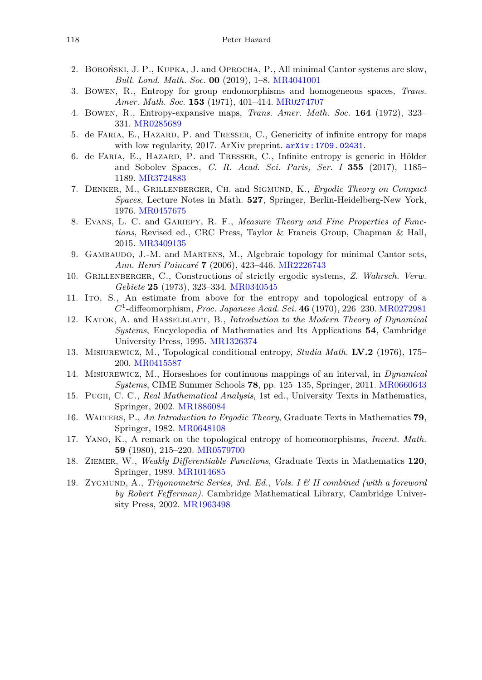- <span id="page-23-10"></span>2. Boroński, J. P., Kupka, J. and Oprocha, P., All minimal Cantor systems are slow, *Bull. Lond. Math. Soc.* **00** (2019), 1–8. [MR4041001](http://www.ams.org/mathscinet-getitem?mr=4041001)
- <span id="page-23-6"></span>3. Bowen, R., Entropy for group endomorphisms and homogeneous spaces, *Trans. Amer. Math. Soc.* **153** (1971), 401–414. [MR0274707](http://www.ams.org/mathscinet-getitem?mr=0274707)
- <span id="page-23-12"></span>4. Bowen, R., Entropy-expansive maps, *Trans. Amer. Math. Soc.* **164** (1972), 323– 331. [MR0285689](http://www.ams.org/mathscinet-getitem?mr=0285689)
- <span id="page-23-8"></span>5. de Faria, E., Hazard, P. and Tresser, C., Genericity of infinite entropy for maps with low regularity, 2017. ArXiv preprint.  $arXiv:1709.02431$ .
- <span id="page-23-11"></span>6. de Faria, E., Hazard, P. and Tresser, C., Infinite entropy is generic in Hölder and Sobolev Spaces, *C. R. Acad. Sci. Paris, Ser. I* **355** (2017), 1185– 1189. [MR3724883](http://www.ams.org/mathscinet-getitem?mr=3724883)
- <span id="page-23-0"></span>7. Denker, M., Grillenberger, Ch. and Sigmund, K., *Ergodic Theory on Compact Spaces*, Lecture Notes in Math. **527**, Springer, Berlin-Heidelberg-New York, 1976. [MR0457675](http://www.ams.org/mathscinet-getitem?mr=0457675)
- <span id="page-23-16"></span>8. Evans, L. C. and Gariepy, R. F., *Measure Theory and Fine Properties of Functions*, Revised ed., CRC Press, Taylor & Francis Group, Chapman & Hall, 2015. [MR3409135](http://www.ams.org/mathscinet-getitem?mr=3409135)
- <span id="page-23-3"></span>9. Gambaudo, J.-M. and Martens, M., Algebraic topology for minimal Cantor sets, *Ann. Henri Poincaré* **7** (2006), 423–446. [MR2226743](http://www.ams.org/mathscinet-getitem?mr=2226743)
- <span id="page-23-2"></span>10. Grillenberger, C., Constructions of strictly ergodic systems, *Z. Wahrsch. Verw. Gebiete* **25** (1973), 323–334. [MR0340545](http://www.ams.org/mathscinet-getitem?mr=0340545)
- <span id="page-23-7"></span>11. Ito, S., An estimate from above for the entropy and topological entropy of a *C*<sup>1</sup>-diffeomorphism, *Proc. Japanese Acad. Sci.* **46** (1970), 226–230. [MR0272981](http://www.ams.org/mathscinet-getitem?mr=0272981)
- <span id="page-23-5"></span>12. Katok, A. and Hasselblatt, B., *Introduction to the Modern Theory of Dynamical Systems*, Encyclopedia of Mathematics and Its Applications **54**, Cambridge University Press, 1995. [MR1326374](http://www.ams.org/mathscinet-getitem?mr=1326374)
- <span id="page-23-14"></span>13. Misiurewicz, M., Topological conditional entropy, *Studia Math.* **LV.2** (1976), 175– 200. [MR0415587](http://www.ams.org/mathscinet-getitem?mr=0415587)
- <span id="page-23-13"></span>14. Misiurewicz, M., Horseshoes for continuous mappings of an interval, in *Dynamical Systems*, CIME Summer Schools **78**, pp. 125–135, Springer, 2011. [MR0660643](http://www.ams.org/mathscinet-getitem?mr=0660643)
- <span id="page-23-15"></span>15. Pugh, C. C., *Real Mathematical Analysis*, 1st ed., University Texts in Mathematics, Springer, 2002. [MR1886084](http://www.ams.org/mathscinet-getitem?mr=1886084)
- <span id="page-23-1"></span>16. Walters, P., *An Introduction to Ergodic Theory*, Graduate Texts in Mathematics **79**, Springer, 1982. [MR0648108](http://www.ams.org/mathscinet-getitem?mr=0648108)
- <span id="page-23-4"></span>17. Yano, K., A remark on the topological entropy of homeomorphisms, *Invent. Math.* **59** (1980), 215–220. [MR0579700](http://www.ams.org/mathscinet-getitem?mr=0579700)
- 18. Ziemer, W., *Weakly Differentiable Functions*, Graduate Texts in Mathematics **120**, Springer, 1989. [MR1014685](http://www.ams.org/mathscinet-getitem?mr=1014685)
- <span id="page-23-9"></span>19. Zygmund, A., *Trigonometric Series, 3rd. Ed., Vols. I & II combined (with a foreword by Robert Fefferman)*. Cambridge Mathematical Library, Cambridge University Press, 2002. [MR1963498](http://www.ams.org/mathscinet-getitem?mr=1963498)